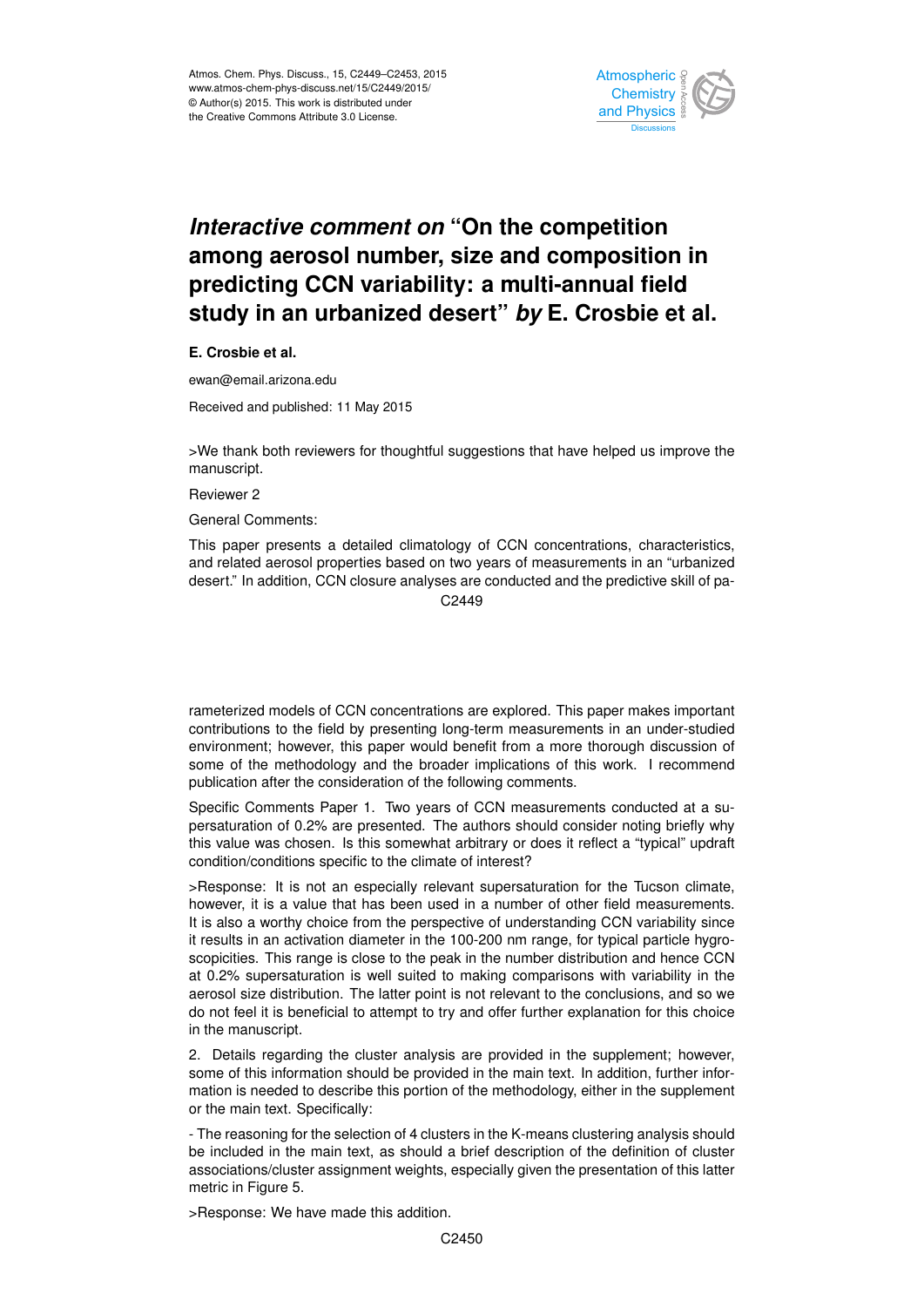

## *Interactive comment on* **"On the competition among aerosol number, size and composition in predicting CCN variability: a multi-annual field study in an urbanized desert"** *by* **E. Crosbie et al.**

**E. Crosbie et al.**

ewan@email.arizona.edu

Received and published: 11 May 2015

>We thank both reviewers for thoughtful suggestions that have helped us improve the manuscript.

Reviewer 2

General Comments:

This paper presents a detailed climatology of CCN concentrations, characteristics, and related aerosol properties based on two years of measurements in an "urbanized desert." In addition, CCN closure analyses are conducted and the predictive skill of pa-C<sub>2449</sub>

rameterized models of CCN concentrations are explored. This paper makes important contributions to the field by presenting long-term measurements in an under-studied environment; however, this paper would benefit from a more thorough discussion of some of the methodology and the broader implications of this work. I recommend publication after the consideration of the following comments.

Specific Comments Paper 1. Two years of CCN measurements conducted at a supersaturation of 0.2% are presented. The authors should consider noting briefly why this value was chosen. Is this somewhat arbitrary or does it reflect a "typical" updraft condition/conditions specific to the climate of interest?

>Response: It is not an especially relevant supersaturation for the Tucson climate, however, it is a value that has been used in a number of other field measurements. It is also a worthy choice from the perspective of understanding CCN variability since it results in an activation diameter in the 100-200 nm range, for typical particle hygroscopicities. This range is close to the peak in the number distribution and hence CCN at 0.2% supersaturation is well suited to making comparisons with variability in the aerosol size distribution. The latter point is not relevant to the conclusions, and so we do not feel it is beneficial to attempt to try and offer further explanation for this choice in the manuscript.

2. Details regarding the cluster analysis are provided in the supplement; however, some of this information should be provided in the main text. In addition, further information is needed to describe this portion of the methodology, either in the supplement or the main text. Specifically:

- The reasoning for the selection of 4 clusters in the K-means clustering analysis should be included in the main text, as should a brief description of the definition of cluster associations/cluster assignment weights, especially given the presentation of this latter metric in Figure 5.

>Response: We have made this addition.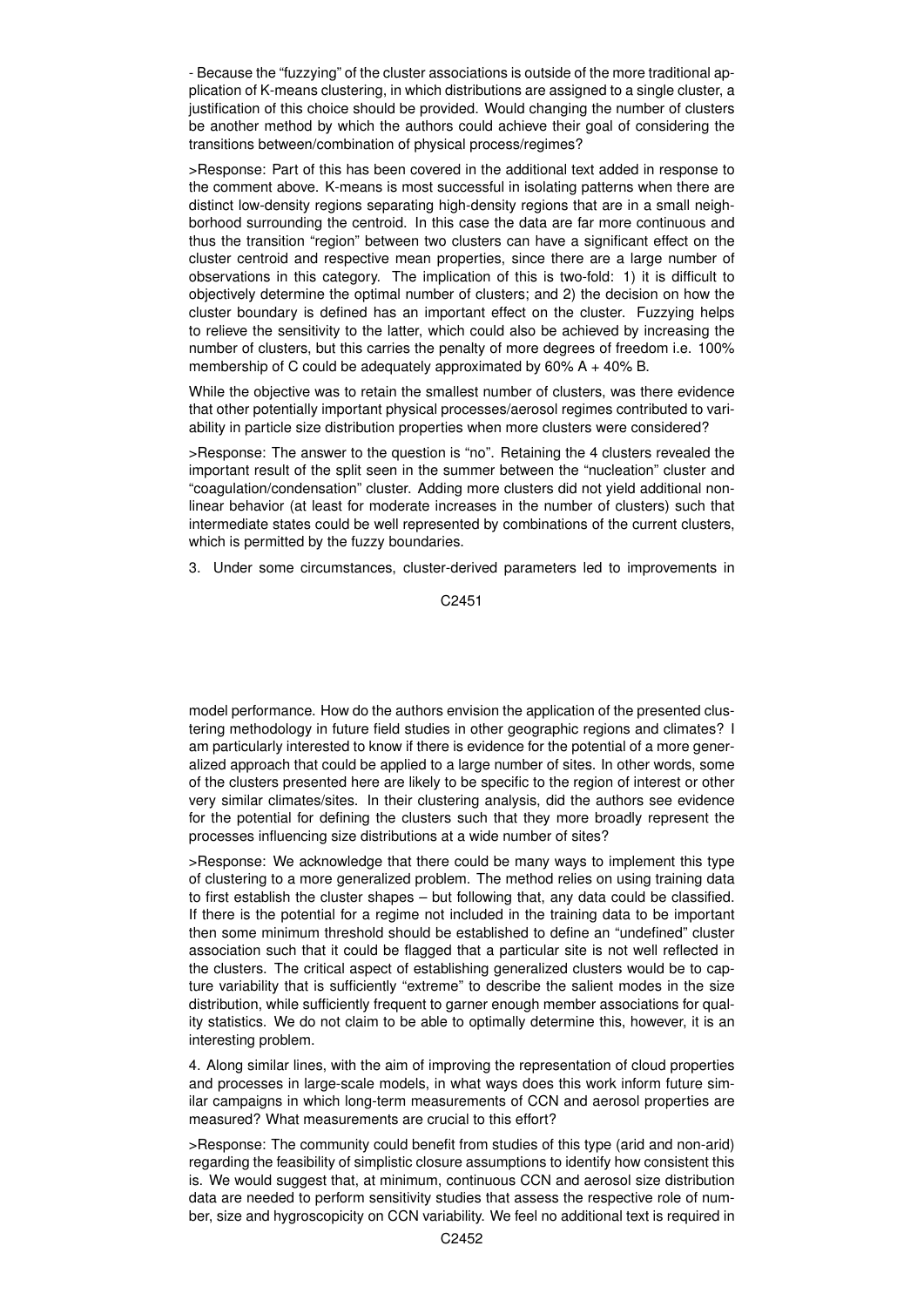- Because the "fuzzying" of the cluster associations is outside of the more traditional application of K-means clustering, in which distributions are assigned to a single cluster, a justification of this choice should be provided. Would changing the number of clusters be another method by which the authors could achieve their goal of considering the transitions between/combination of physical process/regimes?

>Response: Part of this has been covered in the additional text added in response to the comment above. K-means is most successful in isolating patterns when there are distinct low-density regions separating high-density regions that are in a small neighborhood surrounding the centroid. In this case the data are far more continuous and thus the transition "region" between two clusters can have a significant effect on the cluster centroid and respective mean properties, since there are a large number of observations in this category. The implication of this is two-fold: 1) it is difficult to objectively determine the optimal number of clusters; and 2) the decision on how the cluster boundary is defined has an important effect on the cluster. Fuzzying helps to relieve the sensitivity to the latter, which could also be achieved by increasing the number of clusters, but this carries the penalty of more degrees of freedom i.e. 100% membership of C could be adequately approximated by 60% A + 40% B.

While the objective was to retain the smallest number of clusters, was there evidence that other potentially important physical processes/aerosol regimes contributed to variability in particle size distribution properties when more clusters were considered?

>Response: The answer to the question is "no". Retaining the 4 clusters revealed the important result of the split seen in the summer between the "nucleation" cluster and "coagulation/condensation" cluster. Adding more clusters did not yield additional nonlinear behavior (at least for moderate increases in the number of clusters) such that intermediate states could be well represented by combinations of the current clusters, which is permitted by the fuzzy boundaries.

3. Under some circumstances, cluster-derived parameters led to improvements in

C2451

model performance. How do the authors envision the application of the presented clustering methodology in future field studies in other geographic regions and climates? I am particularly interested to know if there is evidence for the potential of a more generalized approach that could be applied to a large number of sites. In other words, some of the clusters presented here are likely to be specific to the region of interest or other very similar climates/sites. In their clustering analysis, did the authors see evidence for the potential for defining the clusters such that they more broadly represent the processes influencing size distributions at a wide number of sites?

>Response: We acknowledge that there could be many ways to implement this type of clustering to a more generalized problem. The method relies on using training data to first establish the cluster shapes – but following that, any data could be classified. If there is the potential for a regime not included in the training data to be important then some minimum threshold should be established to define an "undefined" cluster association such that it could be flagged that a particular site is not well reflected in the clusters. The critical aspect of establishing generalized clusters would be to capture variability that is sufficiently "extreme" to describe the salient modes in the size distribution, while sufficiently frequent to garner enough member associations for quality statistics. We do not claim to be able to optimally determine this, however, it is an interesting problem.

4. Along similar lines, with the aim of improving the representation of cloud properties and processes in large-scale models, in what ways does this work inform future similar campaigns in which long-term measurements of CCN and aerosol properties are measured? What measurements are crucial to this effort?

>Response: The community could benefit from studies of this type (arid and non-arid) regarding the feasibility of simplistic closure assumptions to identify how consistent this is. We would suggest that, at minimum, continuous CCN and aerosol size distribution data are needed to perform sensitivity studies that assess the respective role of number, size and hygroscopicity on CCN variability. We feel no additional text is required in